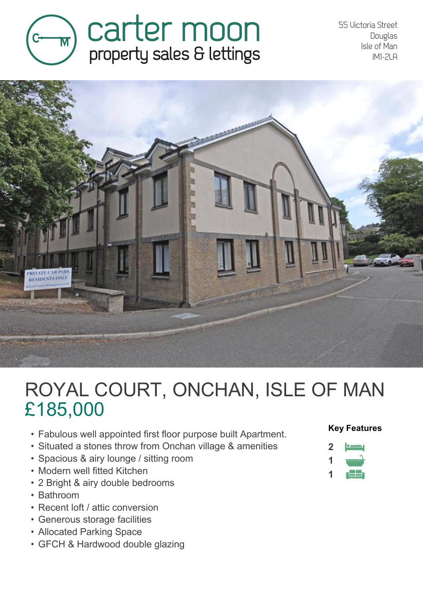

# Carter moon

55 Victoria Street Douglas Isle of Man IM1-2LA



# ROYAL COURT, ONCHAN, ISLE OF MAN £185,000

- Fabulous well appointed first floor purpose built Apartment.
- Situated a stones throw from Onchan village & amenities
- Spacious & airy lounge / sitting room
- Modern well fitted Kitchen
- 2 Bright & airy double bedrooms
- Bathroom
- Recent loft / attic conversion
- Generous storage facilities
- Allocated Parking Space
- GFCH & Hardwood double glazing

## **Key Features**

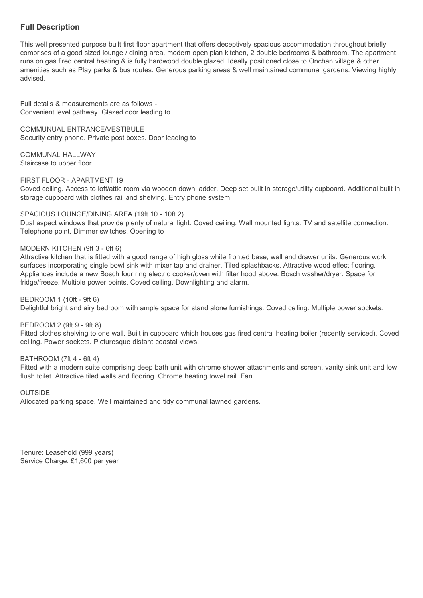### **Full Description**

This well presented purpose built first floor apartment that offers deceptively spacious accommodation throughout briefly comprises of a good sized lounge / dining area, modern open plan kitchen, 2 double bedrooms & bathroom. The apartment runs on gas fired central heating & is fully hardwood double glazed. Ideally positioned close to Onchan village & other amenities such as Play parks & bus routes. Generous parking areas & well maintained communal gardens. Viewing highly advised.

Full details & measurements are as follows - Convenient level pathway. Glazed door leading to

COMMUNUAL ENTRANCE/VESTIBULE Security entry phone. Private post boxes. Door leading to

COMMUNAL HALLWAY Staircase to upper floor

FIRST FLOOR - APARTMENT 19

Coved ceiling. Access to loft/attic room via wooden down ladder. Deep set built in storage/utility cupboard. Additional built in storage cupboard with clothes rail and shelving. Entry phone system.

SPACIOUS LOUNGE/DINING AREA (19ft 10 - 10ft 2)

Dual aspect windows that provide plenty of natural light. Coved ceiling. Wall mounted lights. TV and satellite connection. Telephone point. Dimmer switches. Opening to

#### MODERN KITCHEN (9ft 3 - 6ft 6)

Attractive kitchen that is fitted with a good range of high gloss white fronted base, wall and drawer units. Generous work surfaces incorporating single bowl sink with mixer tap and drainer. Tiled splashbacks. Attractive wood effect flooring. Appliances include a new Bosch four ring electric cooker/oven with filter hood above. Bosch washer/dryer. Space for fridge/freeze. Multiple power points. Coved ceiling. Downlighting and alarm.

BEDROOM 1 (10ft - 9ft 6) Delightful bright and airy bedroom with ample space for stand alone furnishings. Coved ceiling. Multiple power sockets.

BEDROOM 2 (9ft 9 - 9ft 8) Fitted clothes shelving to one wall. Built in cupboard which houses gas fired central heating boiler (recently serviced). Coved ceiling. Power sockets. Picturesque distant coastal views.

#### BATHROOM (7ft 4 - 6ft 4)

Fitted with a modern suite comprising deep bath unit with chrome shower attachments and screen, vanity sink unit and low flush toilet. Attractive tiled walls and flooring. Chrome heating towel rail. Fan.

**OUTSIDE** 

Allocated parking space. Well maintained and tidy communal lawned gardens.

Tenure: Leasehold (999 years) Service Charge: £1,600 per year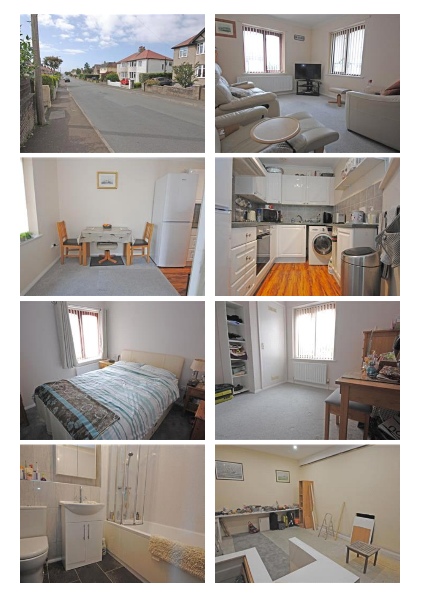